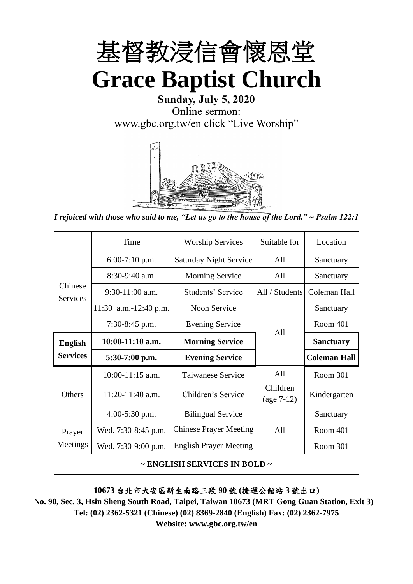

# **Sunday, July 5, 2020** Online sermon: [www.gbc.org.tw/en](http://www.gbc.org.tw/en) click "Live Worship"



*I rejoiced with those who said to me, "Let us go to the house of the Lord." ~ Psalm 122:1*

|                                        | Time                                              | <b>Worship Services</b>       | Suitable for             | Location            |  |
|----------------------------------------|---------------------------------------------------|-------------------------------|--------------------------|---------------------|--|
|                                        | $6:00-7:10$ p.m.<br><b>Saturday Night Service</b> |                               | All                      | Sanctuary           |  |
|                                        | $8:30-9:40$ a.m.                                  | <b>Morning Service</b>        | All                      | Sanctuary           |  |
| Chinese<br><b>Services</b>             | $9:30-11:00$ a.m.                                 | Students' Service             | All / Students           | Coleman Hall        |  |
|                                        | 11:30 a.m.-12:40 p.m.                             | <b>Noon Service</b>           |                          | Sanctuary           |  |
| $7:30-8:45$ p.m.                       |                                                   | <b>Evening Service</b>        | Room 401<br>All          |                     |  |
| <b>English</b>                         | $10:00-11:10$ a.m.                                | <b>Morning Service</b>        |                          | <b>Sanctuary</b>    |  |
| <b>Services</b>                        | $5:30-7:00$ p.m.                                  | <b>Evening Service</b>        |                          | <b>Coleman Hall</b> |  |
|                                        | $10:00-11:15$ a.m.                                | <b>Taiwanese Service</b>      | All                      | <b>Room 301</b>     |  |
| <b>Others</b>                          | 11:20-11:40 a.m.                                  | Children's Service            | Children<br>$(age 7-12)$ | Kindergarten        |  |
|                                        | $4:00-5:30$ p.m.                                  | <b>Bilingual Service</b>      |                          | Sanctuary           |  |
| Prayer                                 | Wed. 7:30-8:45 p.m.                               | <b>Chinese Prayer Meeting</b> | A11                      | Room 401            |  |
| Meetings                               | Wed. 7:30-9:00 p.m.                               | <b>English Prayer Meeting</b> | Room 301                 |                     |  |
| $\sim$ ENGLISH SERVICES IN BOLD $\sim$ |                                                   |                               |                          |                     |  |

### **10673** 台北市大安區新生南路三段 **90** 號 **(**捷運公館站 **3** 號出口**)**

**No. 90, Sec. 3, Hsin Sheng South Road, Taipei, Taiwan 10673 (MRT Gong Guan Station, Exit 3) Tel: (02) 2362-5321 (Chinese) (02) 8369-2840 (English) Fax: (02) 2362-7975 Website: www.gbc.org.tw/en**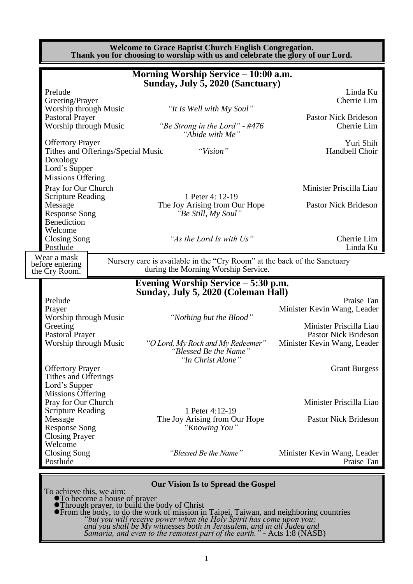|                                                                                                                                                                                                                                                                                                                                                                                                                                                                          | <b>Welcome to Grace Baptist Church English Congregation.</b><br>Thank you for choosing to worship with us and celebrate the glory of our Lord. |  |                                                                                                                              |                                                                                                                                    |  |  |  |
|--------------------------------------------------------------------------------------------------------------------------------------------------------------------------------------------------------------------------------------------------------------------------------------------------------------------------------------------------------------------------------------------------------------------------------------------------------------------------|------------------------------------------------------------------------------------------------------------------------------------------------|--|------------------------------------------------------------------------------------------------------------------------------|------------------------------------------------------------------------------------------------------------------------------------|--|--|--|
|                                                                                                                                                                                                                                                                                                                                                                                                                                                                          |                                                                                                                                                |  | Morning Worship Service - 10:00 a.m.<br>Sunday, July 5, 2020 (Sanctuary)                                                     |                                                                                                                                    |  |  |  |
| Prelude<br>Greeting/Prayer<br>Worship through Music                                                                                                                                                                                                                                                                                                                                                                                                                      |                                                                                                                                                |  | "It Is Well with My Soul"                                                                                                    | Linda Ku<br>Cherrie Lim                                                                                                            |  |  |  |
| <b>Pastoral Prayer</b><br>Worship through Music                                                                                                                                                                                                                                                                                                                                                                                                                          |                                                                                                                                                |  | "Be Strong in the Lord" - #476<br>"Abide with Me"                                                                            | <b>Pastor Nick Brideson</b><br>Cherrie Lim                                                                                         |  |  |  |
| <b>Offertory Prayer</b><br>Doxology                                                                                                                                                                                                                                                                                                                                                                                                                                      | Tithes and Offerings/Special Music                                                                                                             |  | "Vision"                                                                                                                     | Yuri Shih<br>Handbell Choir                                                                                                        |  |  |  |
| Lord's Supper<br><b>Missions Offering</b><br>Pray for Our Church<br><b>Scripture Reading</b><br>Message                                                                                                                                                                                                                                                                                                                                                                  |                                                                                                                                                |  | 1 Peter 4: 12-19<br>The Joy Arising from Our Hope                                                                            | Minister Priscilla Liao<br><b>Pastor Nick Brideson</b>                                                                             |  |  |  |
| <b>Response Song</b><br>Benediction<br>Welcome                                                                                                                                                                                                                                                                                                                                                                                                                           |                                                                                                                                                |  | "Be Still, My Soul"                                                                                                          |                                                                                                                                    |  |  |  |
| <b>Closing Song</b><br>Postlude                                                                                                                                                                                                                                                                                                                                                                                                                                          |                                                                                                                                                |  | "As the Lord Is with Us"                                                                                                     | Cherrie Lim<br>Linda Ku                                                                                                            |  |  |  |
| Wear a mask<br>before entering<br>the Cry Room.                                                                                                                                                                                                                                                                                                                                                                                                                          |                                                                                                                                                |  | Nursery care is available in the "Cry Room" at the back of the Sanctuary<br>during the Morning Worship Service.              |                                                                                                                                    |  |  |  |
|                                                                                                                                                                                                                                                                                                                                                                                                                                                                          |                                                                                                                                                |  | Evening Worship Service – 5:30 p.m.                                                                                          |                                                                                                                                    |  |  |  |
| Prelude<br>Prayer<br>Worship through Music<br>Greeting<br><b>Pastoral Prayer</b><br>Worship through Music                                                                                                                                                                                                                                                                                                                                                                |                                                                                                                                                |  | Sunday, July 5, 2020 (Coleman Hall)<br>"Nothing but the Blood"<br>"O Lord, My Rock and My Redeemer"<br>"Blessed Be the Name" | Praise Tan<br>Minister Kevin Wang, Leader<br>Minister Priscilla Liao<br><b>Pastor Nick Brideson</b><br>Minister Kevin Wang, Leader |  |  |  |
| <b>Offertory Prayer</b><br>Tithes and Offerings<br>Lord's Supper                                                                                                                                                                                                                                                                                                                                                                                                         |                                                                                                                                                |  | "In Christ Alone"                                                                                                            | <b>Grant Burgess</b>                                                                                                               |  |  |  |
| <b>Missions Offering</b><br>Pray for Our Church<br><b>Scripture Reading</b><br>Message                                                                                                                                                                                                                                                                                                                                                                                   |                                                                                                                                                |  | 1 Peter 4:12-19<br>The Joy Arising from Our Hope                                                                             | Minister Priscilla Liao<br><b>Pastor Nick Brideson</b>                                                                             |  |  |  |
| <b>Response Song</b><br><b>Closing Prayer</b><br>Welcome<br><b>Closing Song</b><br>Postlude                                                                                                                                                                                                                                                                                                                                                                              |                                                                                                                                                |  | "Knowing You"<br>"Blessed Be the Name"                                                                                       | Minister Kevin Wang, Leader<br>Praise Tan                                                                                          |  |  |  |
|                                                                                                                                                                                                                                                                                                                                                                                                                                                                          |                                                                                                                                                |  |                                                                                                                              |                                                                                                                                    |  |  |  |
| <b>Our Vision Is to Spread the Gospel</b><br>To achieve this, we aim:<br>To become a house of prayer<br>• Through prayer, to build the body of Christ<br>• From the body, to do the work of mission in Taipei, Taiwan, and neighboring countries<br>"but you will receive power when the Holy Spirit has come upon you;<br>and you shall be My witnesses both in Jerusalem, and in all Judea and Samaria, and even to the remotest part of the earth." - Acts 1:8 (NASB) |                                                                                                                                                |  |                                                                                                                              |                                                                                                                                    |  |  |  |

## *Samaria, and even to the remotest part of the earth."* - Acts 1:8 (NASB)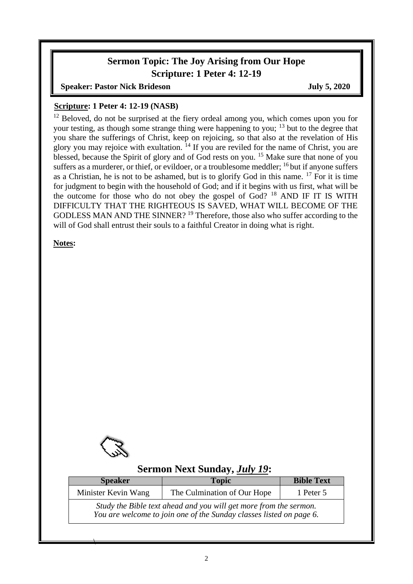# **Sermon Topic: The Joy Arising from Our Hope Scripture: 1 Peter 4: 12-19**

**Speaker: Pastor Nick Brideson July 5, 2020** 

### **Scripture: 1 Peter 4: 12-19 (NASB)**

 $12$  Beloved, do not be surprised at the fiery ordeal among you, which comes upon you for your testing, as though some strange thing were happening to you;  $13$  but to the degree that you share the sufferings of Christ, keep on rejoicing, so that also at the revelation of His glory you may rejoice with exultation.  $^{14}$  If you are reviled for the name of Christ, you are blessed, because the Spirit of glory and of God rests on you.<sup>15</sup> Make sure that none of you suffers as a murderer, or thief, or evildoer, or a troublesome meddler;  $16$  but if anyone suffers as a Christian, he is not to be ashamed, but is to glorify God in this name. <sup>17</sup> For it is time for judgment to begin with the household of God; and if it begins with us first, what will be the outcome for those who do not obey the gospel of  $God$ ?  $^{18}$  AND IF IT IS WITH DIFFICULTY THAT THE RIGHTEOUS IS SAVED, WHAT WILL BECOME OF THE GODLESS MAN AND THE SINNER? <sup>19</sup> Therefore, those also who suffer according to the will of God shall entrust their souls to a faithful Creator in doing what is right.

**Notes:**



 $\overline{\phantom{a}}$ 

## **Sermon Next Sunday,** *July 19***:**

| <b>Speaker</b>      | <b>Topic</b>                                                                                                                             | <b>Bible Text</b> |  |
|---------------------|------------------------------------------------------------------------------------------------------------------------------------------|-------------------|--|
| Minister Kevin Wang | The Culmination of Our Hope                                                                                                              | 1 Peter 5         |  |
|                     | Study the Bible text ahead and you will get more from the sermon.<br>You are welcome to join one of the Sunday classes listed on page 6. |                   |  |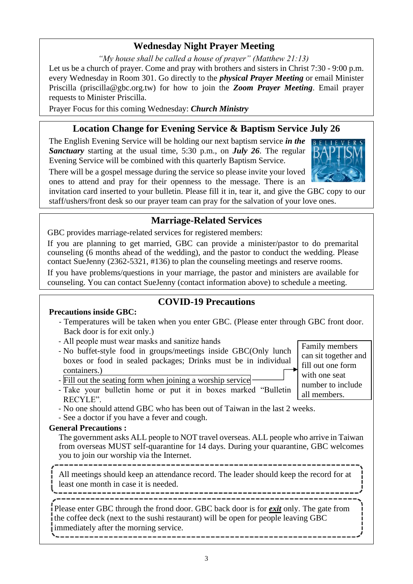## **Wednesday Night Prayer Meeting**

*"My house shall be called a house of prayer" (Matthew 21:13)*

Let us be a church of prayer. Come and pray with brothers and sisters in Christ 7:30 - 9:00 p.m. every Wednesday in Room 301. Go directly to the *physical Prayer Meeting* or email Minister Priscilla (priscilla@gbc.org.tw) for how to join the *Zoom Prayer Meeting*. Email prayer requests to Minister Priscilla.

Prayer Focus for this coming Wednesday: *Church Ministry*

# **Location Change for Evening Service & Baptism Service July 26**

The English Evening Service will be holding our next baptism service *in the Sanctuary* starting at the usual time, 5:30 p.m., on *July 26*. The regular Evening Service will be combined with this quarterly Baptism Service.

There will be a gospel message during the service so please invite your loved ones to attend and pray for their openness to the message. There is an

Family members can sit together and fill out one form with one seat

invitation card inserted to your bulletin. Please fill it in, tear it, and give the GBC copy to our staff/ushers/front desk so our prayer team can pray for the salvation of your love ones.

## **Marriage-Related Services**

GBC provides marriage-related services for registered members:

If you are planning to get married, GBC can provide a minister/pastor to do premarital counseling (6 months ahead of the wedding), and the pastor to conduct the wedding. Please contact SueJenny (2362-5321, #136) to plan the counseling meetings and reserve rooms.

If you have problems/questions in your marriage, the pastor and ministers are available for counseling. You can contact SueJenny (contact information above) to schedule a meeting.

### **Precautions inside GBC:**

### **COVID-19 Precautions**

- Temperatures will be taken when you enter GBC. (Please enter through GBC front door. Back door is for exit only.)
- All people must wear masks and sanitize hands
- No buffet-style food in groups/meetings inside GBC(Only lunch boxes or food in sealed packages; Drinks must be in individual containers.)

- Fill out the seating form when joining a worship service

number to include all members. - Take your bulletin home or put it in boxes marked "Bulletin RECYLE".

- No one should attend GBC who has been out of Taiwan in the last 2 weeks.

- See a doctor if you have a fever and cough.

### **General Precautions :**

The government asks ALL people to NOT travel overseas. ALL people who arrive in Taiwan from overseas MUST self-quarantine for 14 days. During your quarantine, GBC welcomes you to join our worship via the Internet.

All meetings should keep an attendance record. The leader should keep the record for at least one month in case it is needed.

Please enter GBC through the frond door. GBC back door is for *exit* only. The gate from the coffee deck (next to the sushi restaurant) will be open for people leaving GBC immediately after the morning service.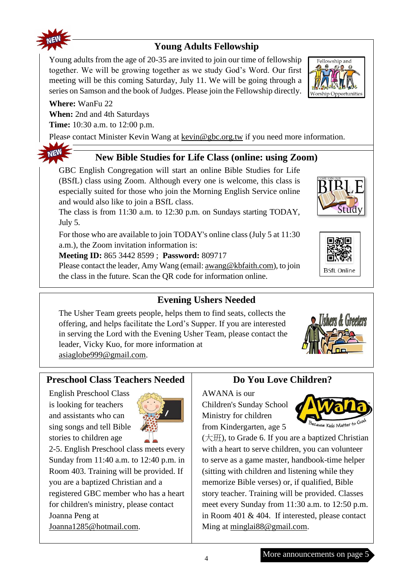

**NEW** 

# **Young Adults Fellowship**

Young adults from the age of 20-35 are invited to join our time of fellowship together. We will be growing together as we study God's Word. Our first meeting will be this coming Saturday, July 11. We will be going through a series on Samson and the book of Judges. Please join the Fellowship directly.

### **Where:** WanFu 22

**When:** 2nd and 4th Saturdays

**Time:** 10:30 a.m. to 12:00 p.m.

Please contact Minister Kevin Wang at [kevin@gbc.org.tw](mailto:kevin@gbc.org.tw) if you need more information.

# **New Bible Studies for Life Class (online: using Zoom)**

GBC English Congregation will start an online Bible Studies for Life (BSfL) class using Zoom. Although every one is welcome, this class is especially suited for those who join the Morning English Service online and would also like to join a BSfL class.

The class is from 11:30 a.m. to 12:30 p.m. on Sundays starting TODAY, July 5.

For those who are available to join TODAY's online class (July 5 at 11:30 a.m.), the Zoom invitation information is:

**Meeting ID:** 865 3442 8599 ; **Password:** 809717

Please contact the leader, Amy Wang (email[: awang@kbfaith.com\)](mailto:awang@kbfaith.com), to join the class in the future. Scan the QR code for information online.

# **Evening Ushers Needed**

The Usher Team greets people, helps them to find seats, collects the offering, and helps facilitate the Lord's Supper. If you are interested in serving the Lord with the Evening Usher Team, please contact the leader, Vicky Kuo, for more information at [asiaglobe999@gmail.com.](mailto:asiaglobe999@gmail.com)

## **Preschool Class Teachers Needed**

English Preschool Class is looking for teachers and assistants who can sing songs and tell Bible stories to children age



2-5. English Preschool class meets every Sunday from 11:40 a.m. to 12:40 p.m. in Room 403. Training will be provided. If you are a baptized Christian and a registered GBC member who has a heart for children's ministry, please contact Joanna Peng at Joanna1285@hotmail.com.

## **Do You Love Children?**

AWANA is our Children's Sunday School Ministry for children from Kindergarten, age 5



(大班), to Grade 6. If you are a baptized Christian with a heart to serve children, you can volunteer to serve as a game master, handbook-time helper (sitting with children and listening while they memorize Bible verses) or, if qualified, Bible story teacher. Training will be provided. Classes meet every Sunday from 11:30 a.m. to 12:50 p.m. in Room 401 & 404. If interested, please contact Ming at [minglai88@gmail.com.](mailto:minglai88@gmail.com)









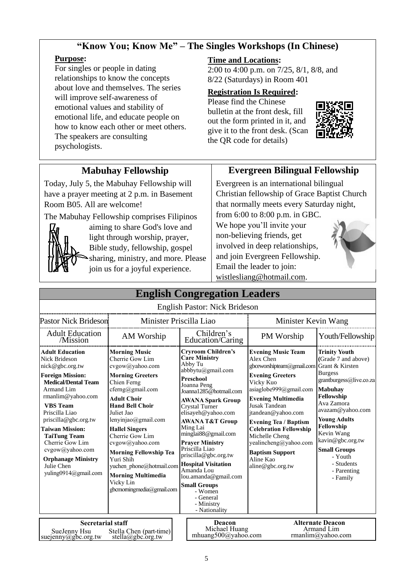### **"Know You; Know Me" – The Singles Workshops (In Chinese)**

### **Purpose:**

For singles or people in dating relationships to know the concepts about love and themselves. The series will improve self-awareness of emotional values and stability of emotional life, and educate people on how to know each other or meet others. The speakers are consulting psychologists.

### **Time and Locations:**

2:00 to 4:00 p.m. on 7/25, 8/1, 8/8, and 8/22 (Saturdays) in Room 401

#### **Registration Is Required:**

Please find the Chinese bulletin at the front desk, fill out the form printed in it, and give it to the front desk. (Scan the QR code for details)



## **Mabuhay Fellowship**

Today, July 5, the Mabuhay Fellowship will have a prayer meeting at 2 p.m. in Basement Room B05. All are welcome!

The Mabuhay Fellowship comprises Filipinos



light through worship, prayer, Bible study, fellowship, gospel sharing, ministry, and more. Please join us for a joyful experience.

aiming to share God's love and

## **Evergreen Bilingual Fellowship**

Evergreen is an international bilingual Christian fellowship of Grace Baptist Church that normally meets every Saturday night, from 6:00 to 8:00 p.m. in GBC.

We hope you'll invite your non-believing friends, get involved in deep relationships, and join Evergreen Fellowship. Email the leader to join: [wistlesliang@hotmail.com.](mailto:wistlesliang@hotmail.com)



| <b>English Congregation Leaders</b>                                                                                                                                                                                                                                                                                                                                                     |                                                                                                                                                                                                                                                                                                                                                                                                                              |                                                                                                                                                                                                                                                                                                                                                                                                                                                                                                                  |                                                                                                                                                                                                                                                                                                                                                                                                  |                                                                                                                                                                                                                                                                                                              |  |
|-----------------------------------------------------------------------------------------------------------------------------------------------------------------------------------------------------------------------------------------------------------------------------------------------------------------------------------------------------------------------------------------|------------------------------------------------------------------------------------------------------------------------------------------------------------------------------------------------------------------------------------------------------------------------------------------------------------------------------------------------------------------------------------------------------------------------------|------------------------------------------------------------------------------------------------------------------------------------------------------------------------------------------------------------------------------------------------------------------------------------------------------------------------------------------------------------------------------------------------------------------------------------------------------------------------------------------------------------------|--------------------------------------------------------------------------------------------------------------------------------------------------------------------------------------------------------------------------------------------------------------------------------------------------------------------------------------------------------------------------------------------------|--------------------------------------------------------------------------------------------------------------------------------------------------------------------------------------------------------------------------------------------------------------------------------------------------------------|--|
|                                                                                                                                                                                                                                                                                                                                                                                         |                                                                                                                                                                                                                                                                                                                                                                                                                              | <b>English Pastor: Nick Brideson</b>                                                                                                                                                                                                                                                                                                                                                                                                                                                                             |                                                                                                                                                                                                                                                                                                                                                                                                  |                                                                                                                                                                                                                                                                                                              |  |
| <b>Pastor Nick Brideson</b>                                                                                                                                                                                                                                                                                                                                                             | Minister Priscilla Liao                                                                                                                                                                                                                                                                                                                                                                                                      |                                                                                                                                                                                                                                                                                                                                                                                                                                                                                                                  | Minister Kevin Wang                                                                                                                                                                                                                                                                                                                                                                              |                                                                                                                                                                                                                                                                                                              |  |
| <b>Adult Education</b><br>/Mission                                                                                                                                                                                                                                                                                                                                                      | AM Worship                                                                                                                                                                                                                                                                                                                                                                                                                   | Children's<br>Education/Caring                                                                                                                                                                                                                                                                                                                                                                                                                                                                                   | PM Worship                                                                                                                                                                                                                                                                                                                                                                                       | Youth/Fellowship                                                                                                                                                                                                                                                                                             |  |
| <b>Adult Education</b><br><b>Nick Brideson</b><br>nick@gbc.org.tw<br><b>Foreign Mission:</b><br><b>Medical/Dental Team</b><br>Armand Lim<br>$r$ manlim@yahoo.com<br><b>VBS</b> Team<br>Priscilla Liao<br>priscilla@gbc.org.tw<br><b>Taiwan Mission:</b><br><b>TaiTung Team</b><br>Cherrie Gow Lim<br>cvgow@yahoo.com<br><b>Orphanage Ministry</b><br>Julie Chen<br>yuling0914@gmail.com | <b>Morning Music</b><br>Cherrie Gow Lim<br>cvgow@yahoo.com<br><b>Morning Greeters</b><br>Chien Ferng<br>cferng@gmail.com<br><b>Adult Choir</b><br><b>Hand Bell Choir</b><br>Juliet Jao<br>lenyinjao@gmail.com<br><b>Hallel Singers</b><br>Cherrie Gow Lim<br>cvgow@yahoo.com<br><b>Morning Fellowship Tea</b><br>Yuri Shih<br>yuchen phone@hotmail.com<br><b>Morning Multimedia</b><br>Vicky Lin<br>gbcmomingmedia@gmail.com | <b>Cryroom Children's</b><br><b>Care Ministry</b><br>Abby Tu<br>abbbytu@gmail.com<br><b>Preschool</b><br>Joanna Peng<br>Joanna1285@hotmail.com<br><b>AWANA Spark Group</b><br><b>Crystal Turner</b><br>elisayeh@yahoo.com<br><b>AWANA T&amp;T Group</b><br>Ming Lai<br>minglai88@gmail.com<br><b>Praver Ministry</b><br>Priscilla Liao<br>priscilla@gbc.org.tw<br><b>Hospital Visitation</b><br>Amanda Lou<br>lou.amanda@gmail.com<br><b>Small Groups</b><br>- Women<br>- General<br>- Ministry<br>- Nationality | <b>Evening Music Team</b><br>Alex Chen<br>gbceworshipteam@gmail.com Grant & Kirsten<br><b>Evening Greeters</b><br>Vicky Kuo<br>asiaglobe999@gmail.com<br><b>Evening Multimedia</b><br>Jusak Tandean<br>jtandean@yahoo.com<br><b>Evening Tea / Baptism</b><br><b>Celebration Fellowship</b><br>Michelle Cheng<br>yealincheng@yahoo.com<br><b>Baptism Support</b><br>Aline Kao<br>aline@gbc.org.tw | <b>Trinity Youth</b><br>(Grade 7 and above)<br><b>Burgess</b><br>grantburgess@live.co.za<br><b>Mabuhay</b><br>Fellowship<br>Ava Zamora<br>avazam@yahoo.com<br><b>Young Adults</b><br>Fellowship<br>Kevin Wang<br>kavin@gbc.org.tw<br><b>Small Groups</b><br>- Youth<br>- Students<br>- Parenting<br>- Family |  |
| <b>Secretarial staff</b><br>SuaJanny Heu                                                                                                                                                                                                                                                                                                                                                | Stalla Chan (part time)                                                                                                                                                                                                                                                                                                                                                                                                      | Deacon<br>Michael Huang                                                                                                                                                                                                                                                                                                                                                                                                                                                                                          |                                                                                                                                                                                                                                                                                                                                                                                                  | <b>Alternate Deacon</b><br>Armand Lim                                                                                                                                                                                                                                                                        |  |

SueJenny Hsu Stella Chen (part-time) Michael Huang Menter Rimand Lim<br>enny @gbc.org.tw stella@gbc.org.tw mhuang500@yahoo.com manlim@yahoo.com Sue Jenny Hsu<br>suejenny@gbc.org.tw Stella Chen (part-time) stella@gbc.org.tw

**Alternate Deacon** Armand Lim<br>manlim@yahoo.com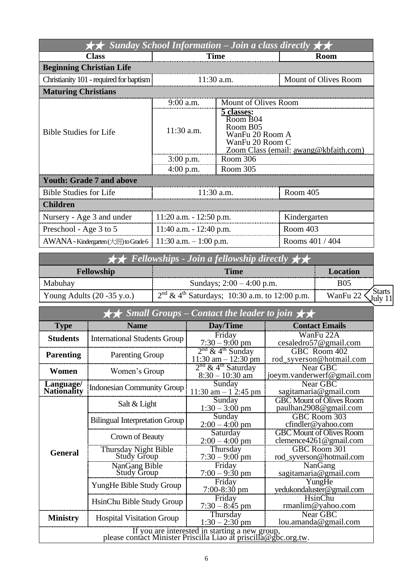| Sunday School Information – Join a class directly $\star\star$ |                            |                                                                                                                   |                      |  |  |  |  |
|----------------------------------------------------------------|----------------------------|-------------------------------------------------------------------------------------------------------------------|----------------------|--|--|--|--|
| <b>Class</b>                                                   | <b>Time</b>                |                                                                                                                   | <b>Room</b>          |  |  |  |  |
| <b>Beginning Christian Life</b>                                |                            |                                                                                                                   |                      |  |  |  |  |
| Christianity 101 - required for baptism                        | $11:30$ a.m.               |                                                                                                                   | Mount of Olives Room |  |  |  |  |
| <b>Maturing Christians</b>                                     |                            |                                                                                                                   |                      |  |  |  |  |
|                                                                | $9:00$ a.m.                | Mount of Olives Room                                                                                              |                      |  |  |  |  |
| <b>Bible Studies for Life</b>                                  | $11:30$ a.m.               | 5 classes:<br>Room B04<br>Room B05<br>WanFu 20 Room A<br>WanFu 20 Room C<br>Zoom Class (email: awang@kbfaith.com) |                      |  |  |  |  |
|                                                                | $3:00$ p.m.                | Room 306                                                                                                          |                      |  |  |  |  |
|                                                                | $4:00$ p.m.                | Room 305                                                                                                          |                      |  |  |  |  |
| <b>Youth: Grade 7 and above</b>                                |                            |                                                                                                                   |                      |  |  |  |  |
| <b>Bible Studies for Life</b>                                  | $11:30$ a.m.               |                                                                                                                   | Room 405             |  |  |  |  |
| <b>Children</b>                                                |                            |                                                                                                                   |                      |  |  |  |  |
| Nursery - Age 3 and under                                      | $11:20$ a.m. $-12:50$ p.m. |                                                                                                                   | Kindergarten         |  |  |  |  |
| Preschool - Age 3 to 5                                         | 11:40 a.m. $- 12:40$ p.m.  |                                                                                                                   | Room 403             |  |  |  |  |
| AWANA - Kindergarten (大班) to Grade 6                           | 11:30 a.m. $-1:00$ p.m.    |                                                                                                                   | Rooms 401 / 404      |  |  |  |  |

| $\star \star$ Fellowships - Join a fellowship directly $\star \star$ |                                                   |          |               |  |
|----------------------------------------------------------------------|---------------------------------------------------|----------|---------------|--|
| <b>Fellowship</b>                                                    | <b>Time</b>                                       | Location |               |  |
| Mabuhay                                                              | Sundays; $2:00 - 4:00$ p.m.                       | B05      |               |  |
| Young Adults $(20 - 35 \text{ y.o.})$                                | $2nd \& 4th Saturdays$ ; 10:30 a.m. to 12:00 p.m. | WanFu 22 | <b>Starts</b> |  |

|  | $\sqrt{S}$ Small Groups – Contact the leader to join |  |  |  |  |
|--|------------------------------------------------------|--|--|--|--|
|  |                                                      |  |  |  |  |

|                                                                                                                   | Д Д<br>$D$ <i>nan <math>D</math>r</i> $D$ | $\sim$ $\sim$ $\sim$ $\sim$ $\sim$ $\sim$ $\sim$ $\sim$  |                                                           |  |  |  |
|-------------------------------------------------------------------------------------------------------------------|-------------------------------------------|----------------------------------------------------------|-----------------------------------------------------------|--|--|--|
| <b>Type</b>                                                                                                       | <b>Name</b>                               | Day/Time                                                 | <b>Contact Emails</b>                                     |  |  |  |
| <b>Students</b>                                                                                                   | <b>International Students Group</b>       | Friday<br>$7:30 - 9:00 \text{ pm}$                       | WanFu 22A<br>cesaledro57@gmail.com                        |  |  |  |
| <b>Parenting</b><br><b>Parenting Group</b>                                                                        |                                           | $2nd$ & 4 <sup>th</sup> Sunday<br>$11:30$ am $-12:30$ pm | GBC Room 402<br>rod_syverson@hotmail.com                  |  |  |  |
| Women                                                                                                             | Women's Group                             | $2nd$ & 4 <sup>th</sup> Saturday<br>$8:30 - 10:30$ am    | <b>Near GBC</b><br>joeym.vanderwerf@gmail.com             |  |  |  |
| Language/<br>Nationality                                                                                          | <b>Indonesian Community Group</b>         | Sunday<br>11:30 am $-$ 1 2:45 pm                         | Near GBC<br>sagitamaria@gmail.com                         |  |  |  |
|                                                                                                                   | Salt & Light                              | Sunday<br>$1:30 - 3:00$ pm                               | <b>GBC Mount of Olives Room</b><br>paulhan2908@gmail.com  |  |  |  |
|                                                                                                                   | <b>Bilingual Interpretation Group</b>     | Sunday<br>$2:00 - 4:00$ pm                               | GBC Room 303<br>cfindler@yahoo.com                        |  |  |  |
|                                                                                                                   | Crown of Beauty                           | Saturday<br>$2:00 - 4:00$ pm                             | <b>GBC Mount of Olives Room</b><br>clemence4261@gmail.com |  |  |  |
| <b>General</b>                                                                                                    | Thursday Night Bible<br>Study Group       | Thursday<br>$7:30 - 9:00$ pm                             | GBC Room 301<br>rod_syverson@hotmail.com                  |  |  |  |
|                                                                                                                   | NanGang Bible<br><b>Study Group</b>       | Friday<br>$7:00 - 9:30$ pm                               | NanGang<br>sagitamaria@gmail.com                          |  |  |  |
|                                                                                                                   | YungHe Bible Study Group                  | Friday<br>$7:00-8:30$ pm                                 | YungHe<br>yedukondaluster@gmail.com                       |  |  |  |
|                                                                                                                   | HsinChu Bible Study Group                 | Friday<br>$7:30 - 8:45$ pm                               | HsinChu<br>rmanlim@yahoo.com                              |  |  |  |
| <b>Ministry</b>                                                                                                   | <b>Hospital Visitation Group</b>          | Thursday<br>$1:30 - 2:30$ pm                             | Near GBC<br>lou.amanda@gmail.com                          |  |  |  |
| If you are interested in starting a new group,<br>please contact Minister Priscilla Liao at priscilla@gbc.org.tw. |                                           |                                                          |                                                           |  |  |  |